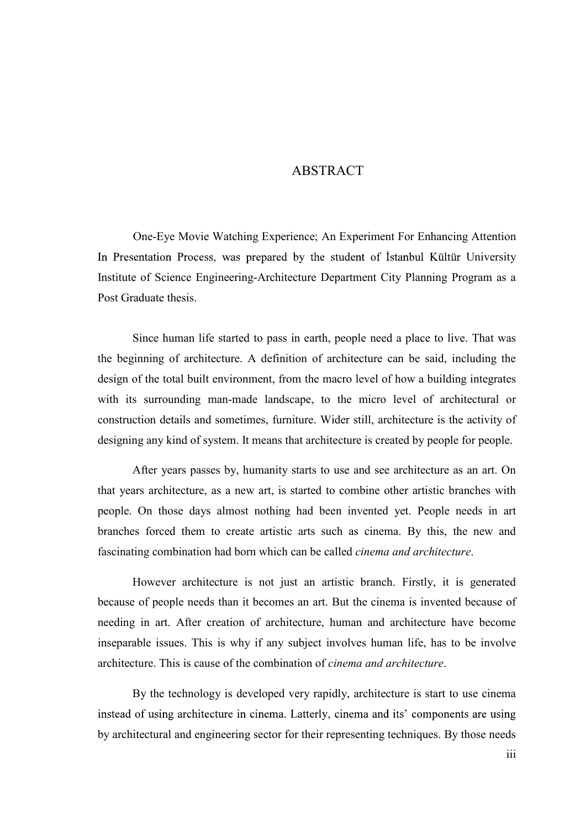## ABSTRACT

One-Eye Movie Watching Experience; An Experiment For Enhancing Attention In Presentation Process, was prepared by the student of Istanbul Kültür University Institute of Science Engineering-Architecture Department City Planning Program as a Post Graduate thesis.

Since human life started to pass in earth, people need a place to live. That was the beginning of architecture. A definition of architecture can be said, including the design of the total built environment, from the macro level of how a building integrates with its surrounding man-made landscape, to the micro level of architectural or construction details and sometimes, furniture. Wider still, architecture is the activity of designing any kind of system. It means that architecture is created by people for people. One-Eye Movie watching Experience; An Experiment For Ennancing Attention<br>In Presentation Process, was prepared by the student of Istanbul Kültür University<br>Institute of Science Engineering-Architecture Department City Plan

After years passes by, humanity starts to use and see architecture as an art. On people. On those days almost nothing had been invented yet. People needs in art branches forced them to create artistic arts such as cinema. By this, the new and fascinating combination had born which can be called cinema and architecture.

However architecture is not just an artistic branch. Firstly, it is generated because of people needs than it becomes an art. But the cinema is invented because of needing in art. After creation of architecture, human and architecture have become inseparable issues. This is why if any subject involves human life, has to be involve architecture. This is cause of the combination of cinema and architecture.

By the technology is developed very rapidly, architecture is start to use cinema instead of using architecture in cinema. Latterly, cinema and its' components are using by architectural and engineering sector for their representing techniques. By those needs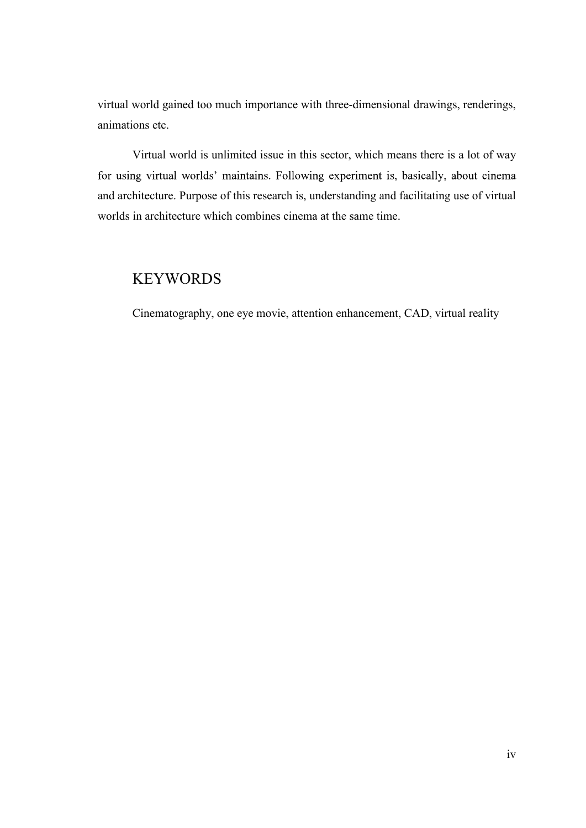virtual world gained too much importance with three-dimensional drawings, renderings, animations etc.

Virtual world is unlimited issue in this sector, which means there is a lot of way virtual world gained too much importance with three-dimensional drawings, renderings, animations etc.<br>Virtual world is unlimited issue in this sector, which means there is a lot of way<br>for using virtual worlds' maintains. worlds in architecture which combines cinema at the same time.

## **KEYWORDS**

Cinematography, one eye movie, attention enhancement, CAD, virtual reality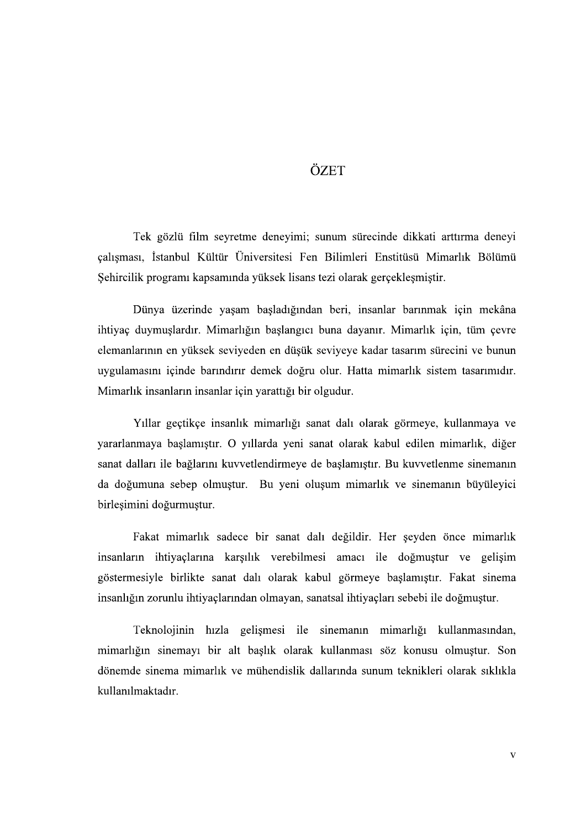## ÖZET

Tek gözlü film seyretme deneyimi; sunum sürecinde dikkati arttırma deneyi çalışması, İstanbul Kültür Üniversitesi Fen Bilimleri Enstitüsü Mimarlık Bölümü Sehircilik programı kapsamında yüksek lisans tezi olarak gerçekleşmiştir.

Dünya üzerinde yaşam başladığından beri, insanlar barınmak için mekâna ihtiyaç duymuşlardır. Mimarlığın başlangıcı buna dayanır. Mimarlık için, tüm çevre elemanlarının en yüksek seviyeden en düşük seviyeye kadar tasarım sürecini ve bunun uygulamasını içinde barındırır demek doğru olur. Hatta mimarlık sistem tasarımıdır. Mimarlık insanların insanlar için yarattığı bir olgudur.

Yıllar geçtikçe insanlık mimarlığı sanat dalı olarak görmeye, kullanmaya ve yararlanmaya başlamıştır. O yıllarda yeni sanat olarak kabul edilen mimarlık, diğer sanat dalları ile bağlarını kuvvetlendirmeye de başlamıştır. Bu kuvvetlenme sinemanın da doğumuna sebep olmuştur. Bu yeni oluşum mimarlık ve sinemanın büyüleyici birleşimini doğurmuştur.

Fakat mimarlık sadece bir sanat dalı değildir. Her şeyden önce mimarlık insanların ihtiyaçlarına karşılık verebilmesi amacı ile doğmuştur ve gelişim göstermesiyle birlikte sanat dalı olarak kabul görmeye başlamıştır. Fakat sinema insanlığın zorunlu ihtiyaçlarından olmayan, sanatsal ihtiyaçları sebebi ile doğmuştur.

Teknolojinin hızla gelişmesi ile sinemanın mimarlığı kullanmasından, mimarlığın sinemayı bir alt başlık olarak kullanması söz konusu olmuştur. Son dönemde sinema mimarlık ve mühendislik dallarında sunum teknikleri olarak sıklıkla kullanılmaktadır.